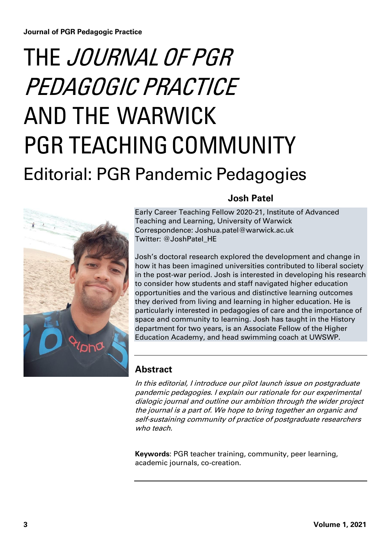# THE JOURNAL OF PGR PEDAGOGIC PRACTICE AND THE WARWICK PGR TEACHING COMMUNITY Editorial: PGR Pandemic Pedagogies



# **Josh Patel**

Early Career Teaching Fellow 2020-21, Institute of Advanced Teaching and Learning, University of Warwick Correspondence: Joshua.patel@warwick.ac.uk Twitter: @JoshPatel\_HE

Josh's doctoral research explored the development and change in how it has been imagined universities contributed to liberal society in the post-war period. Josh is interested in developing his research to consider how students and staff navigated higher education opportunities and the various and distinctive learning outcomes they derived from living and learning in higher education. He is particularly interested in pedagogies of care and the importance of space and community to learning. Josh has taught in the History department for two years, is an Associate Fellow of the Higher Education Academy, and head swimming coach at UWSWP.

# **Abstract**

In this editorial, I introduce our pilot launch issue on postgraduate pandemic pedagogies. I explain our rationale for our experimental dialogic journal and outline our ambition through the wider project the journal is a part of. We hope to bring together an organic and self-sustaining community of practice of postgraduate researchers who teach.

**Keywords**: PGR teacher training, community, peer learning, academic journals, co-creation.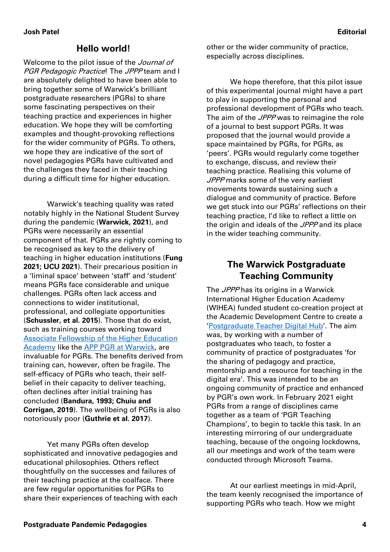# **Hello world!**

Welcome to the pilot issue of the *Journal of* **PGR Pedagogic Practice! The JPPP team and I** are absolutely delighted to have been able to bring together some of Warwick's brilliant postgraduate researchers (PGRs) to share some fascinating perspectives on their teaching practice and experiences in higher education. We hope they will be comforting examples and thought-provoking reflections for the wider community of PGRs. To others, we hope they are indicative of the sort of novel pedagogies PGRs have cultivated and the challenges they faced in their teaching during a difficult time for higher education.

Warwick's teaching quality was rated notably highly in the National Student Survey during the pandemic (**Warwick, 2021**), and PGRs were necessarily an essential component of that. PGRs are rightly coming to be recognised as key to the delivery of teaching in higher education institutions (**Fung 2021; UCU 2021**). Their precarious position in a 'liminal space' between 'staff' and 'student' means PGRs face considerable and unique challenges. PGRs often lack access and connections to wider institutional, professional, and collegiate opportunities (**Schussler, et al. 2015**). Those that do exist, such as training courses working toward [Associate Fellowship of the Higher Education](https://warwick.ac.uk/fac/cross_fac/academic-development/app/appswarwick_handbook.pdf)  [Academy](https://warwick.ac.uk/fac/cross_fac/academic-development/app/appswarwick_handbook.pdf) like the [APP PGR at Warwick,](https://warwick.ac.uk/fac/cross_fac/academic-development/app/pgr) are invaluable for PGRs. The benefits derived from training can, however, often be fragile. The self-efficacy of PGRs who teach, their selfbelief in their capacity to deliver teaching, often declines after initial training has concluded (**Bandura, 1993; Chuiu and Corrigan, 2019**). The wellbeing of PGRs is also notoriously poor (**Guthrie et al. 2017**).

Yet many PGRs often develop sophisticated and innovative pedagogies and educational philosophies. Others reflect thoughtfully on the successes and failures of their teaching practice at the coalface. There are few regular opportunities for PGRs to share their experiences of teaching with each other or the wider community of practice, especially across disciplines.

We hope therefore, that this pilot issue of this experimental journal might have a part to play in supporting the personal and professional development of PGRs who teach. The aim of the *JPPP* was to reimagine the role of a journal to best support PGRs. It was proposed that the journal would provide a space maintained by PGRs, for PGRs, as 'peers'. PGRs would regularly come together to exchange, discuss, and review their teaching practice. Realising this volume of JPPP marks some of the very earliest movements towards sustaining such a dialogue and community of practice. Before we get stuck into our PGRs' reflections on their teaching practice, I'd like to reflect a little on the origin and ideals of the JPPP and its place in the wider teaching community.

# **The Warwick Postgraduate Teaching Community**

The JPPP has its origins in a Warwick International Higher Education Academy (WIHEA) funded student co-creation project at the Academic Development Centre to create a '[Postgraduate Teacher Digital Hub](https://warwick.ac.uk/fac/cross_fac/academy/funding/currentprojects/pgr_teacher_hub/)'. The aim was, by working with a number of postgraduates who teach, to foster a community of practice of postgraduates 'for the sharing of pedagogy and practice, mentorship and a resource for teaching in the digital era'. This was intended to be an ongoing community of practice and enhanced by PGR's own work. In February 2021 eight PGRs from a range of disciplines came together as a team of 'PGR Teaching Champions', to begin to tackle this task. In an interesting mirroring of our undergraduate teaching, because of the ongoing lockdowns, all our meetings and work of the team were conducted through Microsoft Teams.

At our earliest meetings in mid-April, the team keenly recognised the importance of supporting PGRs who teach. How we might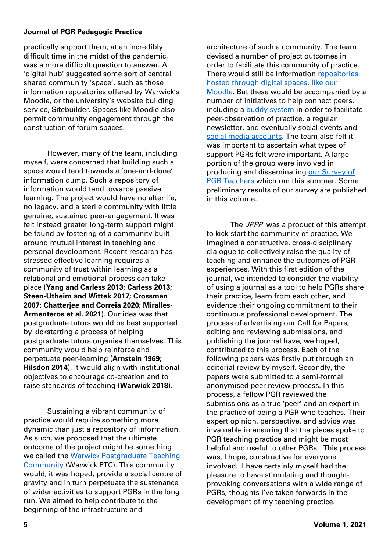#### **Journal of PGR Pedagogic Practice**

practically support them, at an incredibly difficult time in the midst of the pandemic, was a more difficult question to answer. A 'digital hub' suggested some sort of central shared community 'space', such as those information repositories offered by Warwick's Moodle, or the university's website building service, Sitebuilder. Spaces like Moodle also permit community engagement through the construction of forum spaces.

However, many of the team, including myself, were concerned that building such a space would tend towards a 'one-and-done' information dump. Such a repository of information would tend towards passive learning. The project would have no afterlife, no legacy, and a sterile community with little genuine, sustained peer-engagement. It was felt instead greater long-term support might be found by fostering of a community built around mutual interest in teaching and personal development. Recent research has stressed effective learning requires a community of trust within learning as a relational and emotional process can take place (**Yang and Carless 2013; Carless 2013; Steen-Utheim and Wittek 2017; Crossman 2007; Chatterjee and Correia 2020; Miralles-Armenteros et al. 2021**). Our idea was that postgraduate tutors would be best supported by kickstarting a process of helping postgraduate tutors organise themselves. This community would help reinforce and perpetuate peer-learning (**Arnstein 1969; Hilsdon 2014**). It would align with institutional objectives to encourage co-creation and to raise standards of teaching (**Warwick 2018**).

Sustaining a vibrant community of practice would require something more dynamic than just a repository of information. As such, we proposed that the ultimate outcome of the project might be something we called the [Warwick Postgraduate Teaching](https://warwick.ac.uk/fac/cross_fac/academic-development/pgrteachers/)  [Community](https://warwick.ac.uk/fac/cross_fac/academic-development/pgrteachers/) (Warwick PTC). This community would, it was hoped, provide a social centre of gravity and in turn perpetuate the sustenance of wider activities to support PGRs in the long run. We aimed to help contribute to the beginning of the infrastructure and

architecture of such a community. The team devised a number of project outcomes in order to facilitate this community of practice. There would still be information [repositories](https://moodle.warwick.ac.uk/course/view.php?id=43709)  [hosted through digital spaces,](https://moodle.warwick.ac.uk/course/view.php?id=43709) like our [Moodle.](https://moodle.warwick.ac.uk/course/view.php?id=43709) But these would be accompanied by a number of initiatives to help connect peers, including a **buddy system** in order to facilitate peer-observation of practice, a regular newsletter, and eventually social events and [social media accounts.](https://twitter.com/WarwickPTC) The team also felt it was important to ascertain what types of support PGRs felt were important. A large portion of the group were involved in producing and disseminating [our Survey of](https://warwick.ac.uk/fac/cross_fac/academic-development/pgrteachers/survey/)  [PGR Teachers](https://warwick.ac.uk/fac/cross_fac/academic-development/pgrteachers/survey/) which ran this summer. Some preliminary results of our survey are published in this volume.

The *JPPP* was a product of this attempt to kick-start the community of practice. We imagined a constructive, cross-disciplinary dialogue to collectively raise the quality of teaching and enhance the outcomes of PGR experiences. With this first edition of the journal, we intended to consider the viability of using a journal as a tool to help PGRs share their practice, learn from each other, and evidence their ongoing commitment to their continuous professional development. The process of advertising our Call for Papers, editing and reviewing submissions, and publishing the journal have, we hoped, contributed to this process. Each of the following papers was firstly put through an editorial review by myself. Secondly, the papers were submitted to a semi-formal anonymised peer review process. In this process, a fellow PGR reviewed the submissions as a true 'peer' and an expert in the practice of being a PGR who teaches. Their expert opinion, perspective, and advice was invaluable in ensuring that the pieces spoke to PGR teaching practice and might be most helpful and useful to other PGRs. This process was, I hope, constructive for everyone involved. I have certainly myself had the pleasure to have stimulating and thoughtprovoking conversations with a wide range of PGRs, thoughts I've taken forwards in the development of my teaching practice.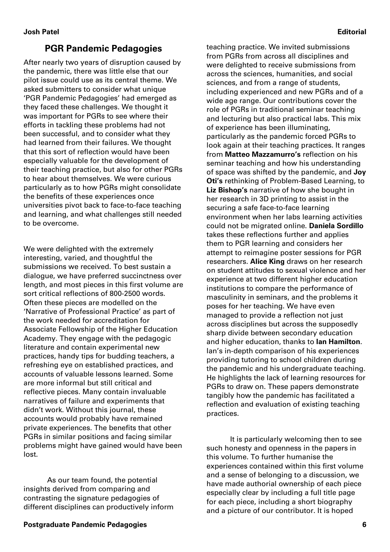# **PGR Pandemic Pedagogies**

After nearly two years of disruption caused by the pandemic, there was little else that our pilot issue could use as its central theme. We asked submitters to consider what unique 'PGR Pandemic Pedagogies' had emerged as they faced these challenges. We thought it was important for PGRs to see where their efforts in tackling these problems had not been successful, and to consider what they had learned from their failures. We thought that this sort of reflection would have been especially valuable for the development of their teaching practice, but also for other PGRs to hear about themselves. We were curious particularly as to how PGRs might consolidate the benefits of these experiences once universities pivot back to face-to-face teaching and learning, and what challenges still needed to be overcome.

We were delighted with the extremely interesting, varied, and thoughtful the submissions we received. To best sustain a dialogue, we have preferred succinctness over length, and most pieces in this first volume are sort critical reflections of 800-2500 words. Often these pieces are modelled on the 'Narrative of Professional Practice' as part of the work needed for accreditation for Associate Fellowship of the Higher Education Academy. They engage with the pedagogic literature and contain experimental new practices, handy tips for budding teachers, a refreshing eye on established practices, and accounts of valuable lessons learned. Some are more informal but still critical and reflective pieces. Many contain invaluable narratives of failure and experiments that didn't work. Without this journal, these accounts would probably have remained private experiences. The benefits that other PGRs in similar positions and facing similar problems might have gained would have been lost.

As our team found, the potential insights derived from comparing and contrasting the signature pedagogies of different disciplines can productively inform teaching practice. We invited submissions from PGRs from across all disciplines and were delighted to receive submissions from across the sciences, humanities, and social sciences, and from a range of students, including experienced and new PGRs and of a wide age range. Our contributions cover the role of PGRs in traditional seminar teaching and lecturing but also practical labs. This mix of experience has been illuminating, particularly as the pandemic forced PGRs to look again at their teaching practices. It ranges from **Matteo Mazzamurro's** reflection on his seminar teaching and how his understanding of space was shifted by the pandemic, and **Joy Oti's** rethinking of Problem-Based Learning, to **Liz Bishop's** narrative of how she bought in her research in 3D printing to assist in the securing a safe face-to-face learning environment when her labs learning activities could not be migrated online. **Daniela Sordillo** takes these reflections further and applies them to PGR learning and considers her attempt to reimagine poster sessions for PGR researchers. **Alice King** draws on her research on student attitudes to sexual violence and her experience at two different higher education institutions to compare the performance of masculinity in seminars, and the problems it poses for her teaching. We have even managed to provide a reflection not just across disciplines but across the supposedly sharp divide between secondary education and higher education, thanks to **Ian Hamilton**. Ian's in-depth comparison of his experiences providing tutoring to school children during the pandemic and his undergraduate teaching. He highlights the lack of learning resources for PGRs to draw on. These papers demonstrate tangibly how the pandemic has facilitated a reflection and evaluation of existing teaching practices.

It is particularly welcoming then to see such honesty and openness in the papers in this volume. To further humanise the experiences contained within this first volume and a sense of belonging to a discussion, we have made authorial ownership of each piece especially clear by including a full title page for each piece, including a short biography and a picture of our contributor. It is hoped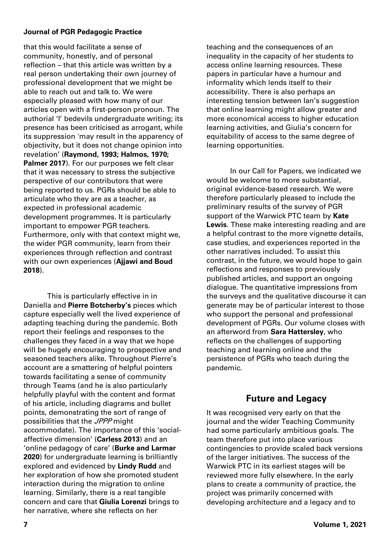#### **Journal of PGR Pedagogic Practice**

that this would facilitate a sense of community, honestly, and of personal reflection – that this article was written by a real person undertaking their own journey of professional development that we might be able to reach out and talk to. We were especially pleased with how many of our articles open with a first-person pronoun. The authorial 'I' bedevils undergraduate writing; its presence has been criticised as arrogant, while its suppression 'may result in the apparency of objectivity, but it does not change opinion into revelation' (**Raymond, 1993; Halmos, 1970;**  Palmer 2017). For our purposes we felt clear that it was necessary to stress the subjective perspective of our contributors that were being reported to us. PGRs should be able to articulate who they are as a teacher, as expected in professional academic development programmes. It is particularly important to empower PGR teachers. Furthermore, only with that context might we, the wider PGR community, learn from their experiences through reflection and contrast with our own experiences (**Ajjawi and Boud 2018**).

This is particularly effective in in Daniella and **Pierre Botcherby's** pieces which capture especially well the lived experience of adapting teaching during the pandemic. Both report their feelings and responses to the challenges they faced in a way that we hope will be hugely encouraging to prospective and seasoned teachers alike. Throughout Pierre's account are a smattering of helpful pointers towards facilitating a sense of community through Teams (and he is also particularly helpfully playful with the content and format of his article, including diagrams and bullet points, demonstrating the sort of range of possibilities that the JPPP might accommodate). The importance of this 'socialaffective dimension' (**Carless 2013**) and an 'online pedagogy of care' (**Burke and Larmar 2020**) for undergraduate learning is brilliantly explored and evidenced by **Lindy Rudd** and her exploration of how she promoted student interaction during the migration to online learning. Similarly, there is a real tangible concern and care that **Giulia Lorenzi** brings to her narrative, where she reflects on her

teaching and the consequences of an inequality in the capacity of her students to access online learning resources. These papers in particular have a humour and informality which lends itself to their accessibility. There is also perhaps an interesting tension between Ian's suggestion that online learning might allow greater and more economical access to higher education learning activities, and Giulia's concern for equitability of access to the same degree of learning opportunities.

In our Call for Papers, we indicated we would be welcome to more substantial, original evidence-based research. We were therefore particularly pleased to include the preliminary results of the survey of PGR support of the Warwick PTC team by **Kate Lewis**. These make interesting reading and are a helpful contrast to the more vignette details, case studies, and experiences reported in the other narratives included. To assist this contrast, in the future, we would hope to gain reflections and responses to previously published articles, and support an ongoing dialogue. The quantitative impressions from the surveys and the qualitative discourse it can generate may be of particular interest to those who support the personal and professional development of PGRs. Our volume closes with an afterword from **Sara Hattersley**, who reflects on the challenges of supporting teaching and learning online and the persistence of PGRs who teach during the pandemic.

## **Future and Legacy**

It was recognised very early on that the journal and the wider Teaching Community had some particularly ambitious goals. The team therefore put into place various contingencies to provide scaled back versions of the larger initiatives. The success of the Warwick PTC in its earliest stages will be reviewed more fully elsewhere. In the early plans to create a community of practice, the project was primarily concerned with developing architecture and a legacy and to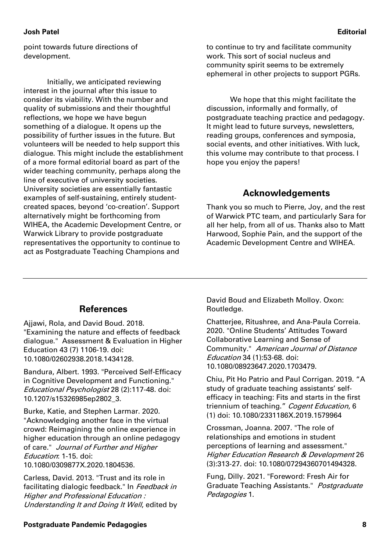#### **Josh Patel Editorial**

point towards future directions of development.

Initially, we anticipated reviewing interest in the journal after this issue to consider its viability. With the number and quality of submissions and their thoughtful reflections, we hope we have begun something of a dialogue. It opens up the possibility of further issues in the future. But volunteers will be needed to help support this dialogue. This might include the establishment of a more formal editorial board as part of the wider teaching community, perhaps along the line of executive of university societies. University societies are essentially fantastic examples of self-sustaining, entirely studentcreated spaces, beyond 'co-creation'. Support alternatively might be forthcoming from WIHEA, the Academic Development Centre, or Warwick Library to provide postgraduate representatives the opportunity to continue to act as Postgraduate Teaching Champions and

to continue to try and facilitate community work. This sort of social nucleus and community spirit seems to be extremely ephemeral in other projects to support PGRs.

We hope that this might facilitate the discussion, informally and formally, of postgraduate teaching practice and pedagogy. It might lead to future surveys, newsletters, reading groups, conferences and symposia, social events, and other initiatives. With luck, this volume may contribute to that process. I hope you enjoy the papers!

#### **Acknowledgements**

Thank you so much to Pierre, Joy, and the rest of Warwick PTC team, and particularly Sara for all her help, from all of us. Thanks also to Matt Harwood, Sophie Pain, and the support of the Academic Development Centre and WIHEA.

### **References**

Ajjawi, Rola, and David Boud. 2018. "Examining the nature and effects of feedback dialogue." Assessment & Evaluation in Higher Education 43 (7) 1106-19. doi: 10.1080/02602938.2018.1434128.

Bandura, Albert. 1993. "Perceived Self-Efficacy in Cognitive Development and Functioning." Educational Psychologist 28 (2):117-48. doi: 10.1207/s15326985ep2802\_3.

Burke, Katie, and Stephen Larmar. 2020. "Acknowledging another face in the virtual crowd: Reimagining the online experience in higher education through an online pedagogy of care." Journal of Further and Higher Education: 1-15. doi: 10.1080/0309877X.2020.1804536.

Carless, David. 2013. "Trust and its role in facilitating dialogic feedback." In Feedback in Higher and Professional Education : Understanding It and Doing It Well, edited by David Boud and Elizabeth Molloy. Oxon: Routledge.

Chatterjee, Ritushree, and Ana-Paula Correia. 2020. "Online Students' Attitudes Toward Collaborative Learning and Sense of Community." American Journal of Distance Education 34 (1):53-68. doi: 10.1080/08923647.2020.1703479.

Chiu, Pit Ho Patrio and Paul Corrigan. 2019. "A study of graduate teaching assistants' selfefficacy in teaching: Fits and starts in the first triennium of teaching." Cogent Education, 6 (1) doi: 10.1080/2331186X.2019.1579964

Crossman, Joanna. 2007. "The role of relationships and emotions in student perceptions of learning and assessment." Higher Education Research & Development 26 (3):313-27. doi: 10.1080/07294360701494328.

Fung, Dilly. 2021. "Foreword: Fresh Air for Graduate Teaching Assistants." Postgraduate Pedagogies 1.